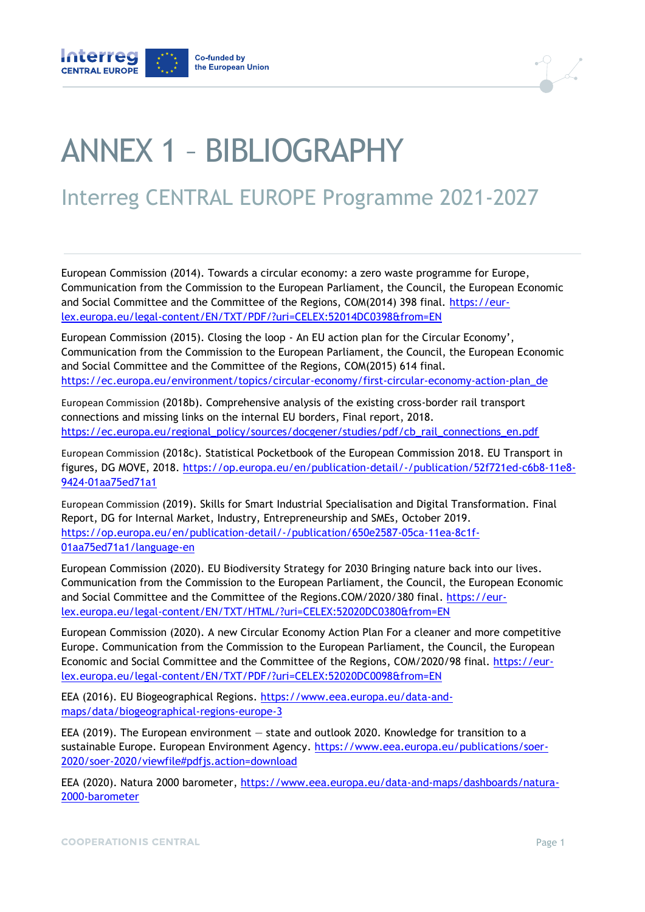



## ANNEX 1 – BIBLIOGRAPHY

## Interreg CENTRAL EUROPE Programme 2021-2027

European Commission (2014). Towards a circular economy: a zero waste programme for Europe, Communication from the Commission to the European Parliament, the Council, the European Economic and Social Committee and the Committee of the Regions, COM(2014) 398 final. [https://eur](https://eur-lex.europa.eu/legal-content/EN/TXT/PDF/?uri=CELEX:52014DC0398&from=EN)[lex.europa.eu/legal-content/EN/TXT/PDF/?uri=CELEX:52014DC0398&from=EN](https://eur-lex.europa.eu/legal-content/EN/TXT/PDF/?uri=CELEX:52014DC0398&from=EN)

European Commission (2015). Closing the loop - An EU action plan for the Circular Economy', Communication from the Commission to the European Parliament, the Council, the European Economic and Social Committee and the Committee of the Regions, COM(2015) 614 final. [https://ec.europa.eu/environment/topics/circular-economy/first-circular-economy-action-plan\\_de](https://ec.europa.eu/environment/topics/circular-economy/first-circular-economy-action-plan_de)

European Commission (2018b). Comprehensive analysis of the existing cross-border rail transport connections and missing links on the internal EU borders, Final report, 2018. [https://ec.europa.eu/regional\\_policy/sources/docgener/studies/pdf/cb\\_rail\\_connections\\_en.pdf](https://ec.europa.eu/regional_policy/sources/docgener/studies/pdf/cb_rail_connections_en.pdf)

European Commission (2018c). Statistical Pocketbook of the European Commission 2018. EU Transport in figures, DG MOVE, 2018. [https://op.europa.eu/en/publication-detail/-/publication/52f721ed-c6b8-11e8-](https://op.europa.eu/en/publication-detail/-/publication/52f721ed-c6b8-11e8-9424-01aa75ed71a1) [9424-01aa75ed71a1](https://op.europa.eu/en/publication-detail/-/publication/52f721ed-c6b8-11e8-9424-01aa75ed71a1)

European Commission (2019). Skills for Smart Industrial Specialisation and Digital Transformation. Final Report, DG for Internal Market, Industry, Entrepreneurship and SMEs, October 2019. [https://op.europa.eu/en/publication-detail/-/publication/650e2587-05ca-11ea-8c1f-](https://op.europa.eu/en/publication-detail/-/publication/650e2587-05ca-11ea-8c1f-01aa75ed71a1/language-en)[01aa75ed71a1/language-en](https://op.europa.eu/en/publication-detail/-/publication/650e2587-05ca-11ea-8c1f-01aa75ed71a1/language-en)

European Commission (2020). EU Biodiversity Strategy for 2030 Bringing nature back into our lives. Communication from the Commission to the European Parliament, the Council, the European Economic and Social Committee and the Committee of the Regions.COM/2020/380 final. [https://eur](https://eur-lex.europa.eu/legal-content/EN/TXT/HTML/?uri=CELEX:52020DC0380&from=EN)[lex.europa.eu/legal-content/EN/TXT/HTML/?uri=CELEX:52020DC0380&from=EN](https://eur-lex.europa.eu/legal-content/EN/TXT/HTML/?uri=CELEX:52020DC0380&from=EN)

European Commission (2020). A new Circular Economy Action Plan For a cleaner and more competitive Europe. Communication from the Commission to the European Parliament, the Council, the European Economic and Social Committee and the Committee of the Regions, COM/2020/98 final. [https://eur](https://eur-lex.europa.eu/legal-content/EN/TXT/PDF/?uri=CELEX:52020DC0098&from=EN)[lex.europa.eu/legal-content/EN/TXT/PDF/?uri=CELEX:52020DC0098&from=EN](https://eur-lex.europa.eu/legal-content/EN/TXT/PDF/?uri=CELEX:52020DC0098&from=EN)

EEA (2016). EU Biogeographical Regions. [https://www.eea.europa.eu/data-and](https://www.eea.europa.eu/data-and-maps/data/biogeographical-regions-europe-3)[maps/data/biogeographical-regions-europe-3](https://www.eea.europa.eu/data-and-maps/data/biogeographical-regions-europe-3)

EEA (2019). The European environment — state and outlook 2020. Knowledge for transition to a sustainable Europe. European Environment Agency. [https://www.eea.europa.eu/publications/soer-](https://www.eea.europa.eu/publications/soer-2020/soer-2020/viewfile#pdfjs.action=download)[2020/soer-2020/viewfile#pdfjs.action=download](https://www.eea.europa.eu/publications/soer-2020/soer-2020/viewfile#pdfjs.action=download)

EEA (2020). Natura 2000 barometer, [https://www.eea.europa.eu/data-and-maps/dashboards/natura-](https://www.eea.europa.eu/data-and-maps/dashboards/natura-2000-barometer)[2000-barometer](https://www.eea.europa.eu/data-and-maps/dashboards/natura-2000-barometer)